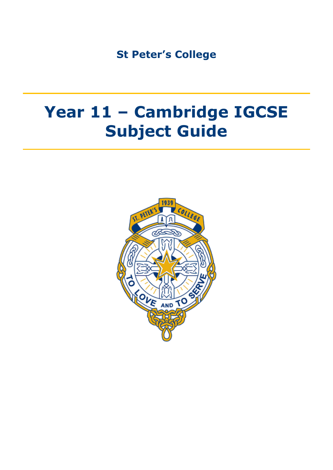**St Peter's College**

# **Year 11 – Cambridge IGCSE Subject Guide**

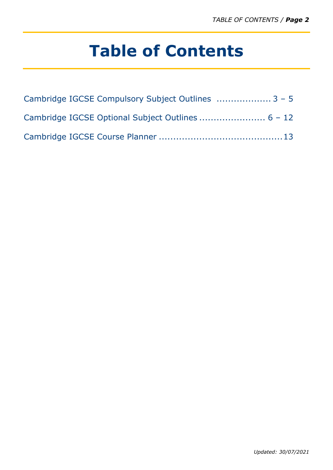# **Table of Contents**

| Cambridge IGCSE Compulsory Subject Outlines  3 - 5 |
|----------------------------------------------------|
|                                                    |
|                                                    |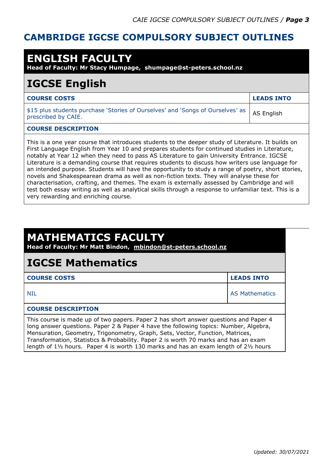#### **CAMBRIDGE IGCSE COMPULSORY SUBJECT OUTLINES**

| <b>ENGLISH FACULTY</b><br>Head of Faculty: Mr Stacy Humpage, shumpage@st-peters.school.nz                                                                                                                                                                                                                                                                                                                                                                                                                                                                                                                                                                                                                                                                                                                                                                 |                   |  |
|-----------------------------------------------------------------------------------------------------------------------------------------------------------------------------------------------------------------------------------------------------------------------------------------------------------------------------------------------------------------------------------------------------------------------------------------------------------------------------------------------------------------------------------------------------------------------------------------------------------------------------------------------------------------------------------------------------------------------------------------------------------------------------------------------------------------------------------------------------------|-------------------|--|
| <b>IGCSE English</b>                                                                                                                                                                                                                                                                                                                                                                                                                                                                                                                                                                                                                                                                                                                                                                                                                                      |                   |  |
| <b>COURSE COSTS</b>                                                                                                                                                                                                                                                                                                                                                                                                                                                                                                                                                                                                                                                                                                                                                                                                                                       | <b>LEADS INTO</b> |  |
| \$15 plus students purchase 'Stories of Ourselves' and 'Songs of Ourselves' as<br>prescribed by CAIE.                                                                                                                                                                                                                                                                                                                                                                                                                                                                                                                                                                                                                                                                                                                                                     | <b>AS English</b> |  |
| <b>COURSE DESCRIPTION</b>                                                                                                                                                                                                                                                                                                                                                                                                                                                                                                                                                                                                                                                                                                                                                                                                                                 |                   |  |
| This is a one year course that introduces students to the deeper study of Literature. It builds on<br>First Language English from Year 10 and prepares students for continued studies in Literature,<br>notably at Year 12 when they need to pass AS Literature to gain University Entrance. IGCSE<br>Literature is a demanding course that requires students to discuss how writers use language for<br>an intended purpose. Students will have the opportunity to study a range of poetry, short stories,<br>novels and Shakespearean drama as well as non-fiction texts. They will analyse these for<br>characterisation, crafting, and themes. The exam is externally assessed by Cambridge and will<br>test both essay writing as well as analytical skills through a response to unfamiliar text. This is a<br>very rewarding and enriching course. |                   |  |

| <b>MATHEMATICS FACULTY</b><br>Head of Faculty: Mr Matt Bindon, mbindon@st-peters.school.nz                                                                                                                                                                                                                                                                                                                                                                        |                       |  |
|-------------------------------------------------------------------------------------------------------------------------------------------------------------------------------------------------------------------------------------------------------------------------------------------------------------------------------------------------------------------------------------------------------------------------------------------------------------------|-----------------------|--|
| <b>IGCSE Mathematics</b>                                                                                                                                                                                                                                                                                                                                                                                                                                          |                       |  |
| <b>COURSE COSTS</b>                                                                                                                                                                                                                                                                                                                                                                                                                                               | <b>LEADS INTO</b>     |  |
| <b>NIL</b>                                                                                                                                                                                                                                                                                                                                                                                                                                                        | <b>AS Mathematics</b> |  |
| <b>COURSE DESCRIPTION</b>                                                                                                                                                                                                                                                                                                                                                                                                                                         |                       |  |
| This course is made up of two papers. Paper 2 has short answer questions and Paper 4<br>long answer questions. Paper 2 & Paper 4 have the following topics: Number, Algebra,<br>Mensuration, Geometry, Trigonometry, Graph, Sets, Vector, Function, Matrices,<br>Transformation, Statistics & Probability. Paper 2 is worth 70 marks and has an exam<br>length of $1\frac{1}{2}$ hours. Paper 4 is worth 130 marks and has an exam length of $2\frac{1}{2}$ hours |                       |  |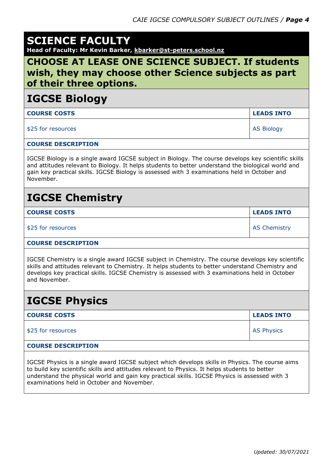|  |  | <b>SCIENCE FACULTY</b> |  |
|--|--|------------------------|--|
|  |  |                        |  |

**Head of Faculty: Mr Kevin Barker, kbarker@st-peters.school.nz**

#### **CHOOSE AT LEASE ONE SCIENCE SUBJECT. If students wish, they may choose other Science subjects as part of their three options.**

#### **IGCSE Biology**

| <b>COURSE COSTS</b> | <b>LEADS INTO</b> |
|---------------------|-------------------|
| \$25 for resources  | <b>AS Biology</b> |

#### **COURSE DESCRIPTION**

IGCSE Biology is a single award IGCSE subject in Biology. The course develops key scientific skills and attitudes relevant to Biology. It helps students to better understand the biological world and gain key practical skills. IGCSE Biology is assessed with 3 examinations held in October and November.

### **IGCSE Chemistry**

| <b>COURSE COSTS</b> | <b>LEADS INTO</b>   |
|---------------------|---------------------|
| \$25 for resources  | <b>AS Chemistry</b> |

#### **COURSE DESCRIPTION**

IGCSE Chemistry is a single award IGCSE subject in Chemistry. The course develops key scientific skills and attitudes relevant to Chemistry. It helps students to better understand Chemistry and develops key practical skills. IGCSE Chemistry is assessed with 3 examinations held in October and November.

### **IGCSE Physics**

| <b>COURSE COSTS</b>       | <b>LEADS INTO</b> |
|---------------------------|-------------------|
| \$25 for resources        | <b>AS Physics</b> |
| <b>COURSE DESCRIPTION</b> |                   |

IGCSE Physics is a single award IGCSE subject which develops skills in Physics. The course aims to build key scientific skills and attitudes relevant to Physics. It helps students to better understand the physical world and gain key practical skills. IGCSE Physics is assessed with 3 examinations held in October and November.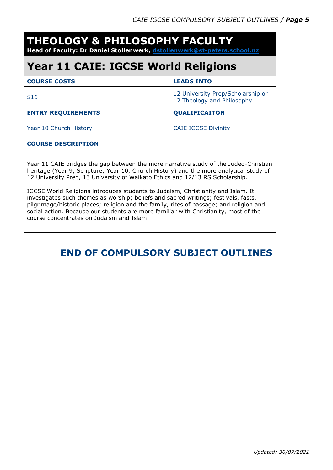| <b>THEOLOGY &amp; PHILOSOPHY FACULTY</b><br>Head of Faculty: Dr Daniel Stollenwerk, dstollenwerk@st-peters.school.nz                                                                                                                                                                                                                                                                                                                                                                                                                                                                                                                                                       |                                                                 |  |  |
|----------------------------------------------------------------------------------------------------------------------------------------------------------------------------------------------------------------------------------------------------------------------------------------------------------------------------------------------------------------------------------------------------------------------------------------------------------------------------------------------------------------------------------------------------------------------------------------------------------------------------------------------------------------------------|-----------------------------------------------------------------|--|--|
| <b>Year 11 CAIE: IGCSE World Religions</b>                                                                                                                                                                                                                                                                                                                                                                                                                                                                                                                                                                                                                                 |                                                                 |  |  |
| <b>COURSE COSTS</b>                                                                                                                                                                                                                                                                                                                                                                                                                                                                                                                                                                                                                                                        | <b>LEADS INTO</b>                                               |  |  |
| \$16                                                                                                                                                                                                                                                                                                                                                                                                                                                                                                                                                                                                                                                                       | 12 University Prep/Scholarship or<br>12 Theology and Philosophy |  |  |
| <b>ENTRY REQUIREMENTS</b>                                                                                                                                                                                                                                                                                                                                                                                                                                                                                                                                                                                                                                                  | QUALIFICAITON                                                   |  |  |
| Year 10 Church History                                                                                                                                                                                                                                                                                                                                                                                                                                                                                                                                                                                                                                                     | <b>CAIE IGCSE Divinity</b>                                      |  |  |
| <b>COURSE DESCRIPTION</b>                                                                                                                                                                                                                                                                                                                                                                                                                                                                                                                                                                                                                                                  |                                                                 |  |  |
| Year 11 CAIE bridges the gap between the more narrative study of the Judeo-Christian<br>heritage (Year 9, Scripture; Year 10, Church History) and the more analytical study of<br>12 University Prep, 13 University of Waikato Ethics and 12/13 RS Scholarship.<br>IGCSE World Religions introduces students to Judaism, Christianity and Islam. It<br>investigates such themes as worship; beliefs and sacred writings; festivals, fasts,<br>pilgrimage/historic places; religion and the family, rites of passage; and religion and<br>social action. Because our students are more familiar with Christianity, most of the<br>course concentrates on Judaism and Islam. |                                                                 |  |  |

### **END OF COMPULSORY SUBJECT OUTLINES**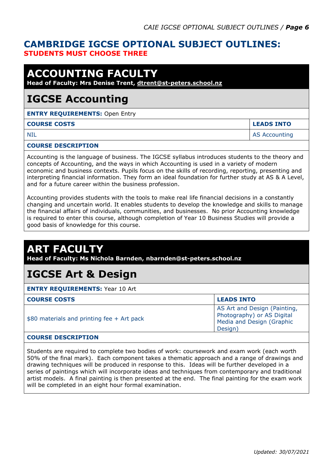#### **CAMBRIDGE IGCSE OPTIONAL SUBJECT OUTLINES: STUDENTS MUST CHOOSE THREE**

### **ACCOUNTING FACULTY**

**Head of Faculty: Mrs Denise Trent, [dtrent@st-peters.school.nz](mailto:dtrent@st-peters.school.nz)**

### **IGCSE Accounting**

**ENTRY REQUIREMENTS: Open Entry** 

#### **COURSE COSTS LEADS INTO**

NIL AS Accounting the state of the state of the state of the state of the state of the state of the state of the state of the state of the state of the state of the state of the state of the state of the state of the state

#### **COURSE DESCRIPTION**

Accounting is the language of business. The IGCSE syllabus introduces students to the theory and concepts of Accounting, and the ways in which Accounting is used in a variety of modern economic and business contexts. Pupils focus on the skills of recording, reporting, presenting and interpreting financial information. They form an ideal foundation for further study at AS & A Level, and for a future career within the business profession.

Accounting provides students with the tools to make real life financial decisions in a constantly changing and uncertain world. It enables students to develop the knowledge and skills to manage the financial affairs of individuals, communities, and businesses. No prior Accounting knowledge is required to enter this course, although completion of Year 10 Business Studies will provide a good basis of knowledge for this course.

### **ART FACULTY**

**Head of Faculty: Ms Nichola Barnden, nbarnden@st-peters.school.nz**

### **IGCSE Art & Design**

**ENTRY REQUIREMENTS:** Year 10 Art

| <b>COURSE COSTS</b>                         | <b>LEADS INTO</b>                                                                                  |
|---------------------------------------------|----------------------------------------------------------------------------------------------------|
| $$80$ materials and printing fee + Art pack | AS Art and Design (Painting,<br>Photography) or AS Digital<br>Media and Design (Graphic<br>Design) |

#### **COURSE DESCRIPTION**

Students are required to complete two bodies of work: coursework and exam work (each worth 50% of the final mark). Each component takes a thematic approach and a range of drawings and drawing techniques will be produced in response to this. Ideas will be further developed in a series of paintings which will incorporate ideas and techniques from contemporary and traditional artist models. A final painting is then presented at the end. The final painting for the exam work will be completed in an eight hour formal examination.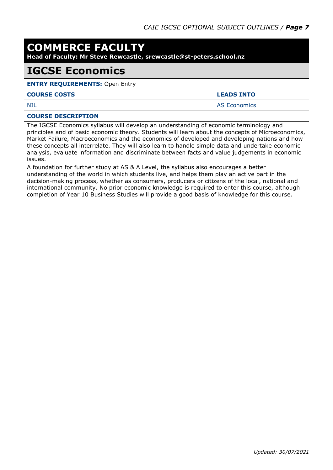### **COMMERCE FACULTY**

**Head of Faculty: Mr Steve Rewcastle, srewcastle@st-peters.school.nz**

#### **IGCSE Economics**

#### **ENTRY REQUIREMENTS:** Open Entry

#### **COURSE COSTS LEADS INTO**

NIL AS Economics

#### **COURSE DESCRIPTION**

The IGCSE Economics syllabus will develop an understanding of economic terminology and principles and of basic economic theory. Students will learn about the concepts of Microeconomics, Market Failure, Macroeconomics and the economics of developed and developing nations and how these concepts all interrelate. They will also learn to handle simple data and undertake economic analysis, evaluate information and discriminate between facts and value judgements in economic issues.

A foundation for further study at AS & A Level, the syllabus also encourages a better understanding of the world in which students live, and helps them play an active part in the decision-making process, whether as consumers, producers or citizens of the local, national and international community. No prior economic knowledge is required to enter this course, although completion of Year 10 Business Studies will provide a good basis of knowledge for this course.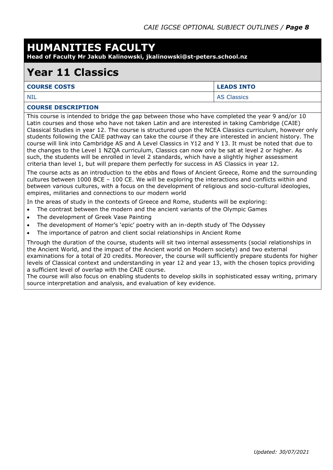### **HUMANITIES FACULTY**

**Head of Faculty Mr Jakub Kalinowski, jkalinowski@st-peters.school.nz**

### **Year 11 Classics**

| <b>COURSE COSTS</b> | <b>LEADS INTO</b>  |
|---------------------|--------------------|
| <b>NIL</b>          | <b>AS Classics</b> |

#### **COURSE DESCRIPTION**

This course is intended to bridge the gap between those who have completed the year 9 and/or 10 Latin courses and those who have not taken Latin and are interested in taking Cambridge (CAIE) Classical Studies in year 12. The course is structured upon the NCEA Classics curriculum, however only students following the CAIE pathway can take the course if they are interested in ancient history. The course will link into Cambridge AS and A Level Classics in Y12 and Y 13. It must be noted that due to the changes to the Level 1 NZQA curriculum, Classics can now only be sat at level 2 or higher. As such, the students will be enrolled in level 2 standards, which have a slightly higher assessment criteria than level 1, but will prepare them perfectly for success in AS Classics in year 12.

The course acts as an introduction to the ebbs and flows of Ancient Greece, Rome and the surrounding cultures between 1000 BCE – 100 CE. We will be exploring the interactions and conflicts within and between various cultures, with a focus on the development of religious and socio-cultural ideologies, empires, militaries and connections to our modern world

In the areas of study in the contexts of Greece and Rome, students will be exploring:

- The contrast between the modern and the ancient variants of the Olympic Games
- The development of Greek Vase Painting
- The development of Homer's 'epic' poetry with an in-depth study of The Odyssey
- The importance of patron and client social relationships in Ancient Rome

Through the duration of the course, students will sit two internal assessments (social relationships in the Ancient World, and the impact of the Ancient world on Modern society) and two external examinations for a total of 20 credits. Moreover, the course will sufficiently prepare students for higher levels of Classical context and understanding in year 12 and year 13, with the chosen topics providing a sufficient level of overlap with the CAIE course.

The course will also focus on enabling students to develop skills in sophisticated essay writing, primary source interpretation and analysis, and evaluation of key evidence.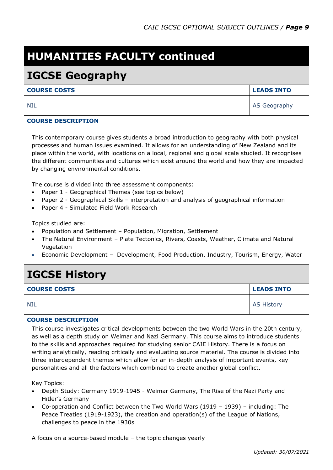## **HUMANITIES FACULTY continued**

### **IGCSE Geography**

#### **COURSE COSTS LEADS INTO**

NIL AS Geography

#### **COURSE DESCRIPTION**

This contemporary course gives students a broad introduction to geography with both physical processes and human issues examined. It allows for an understanding of New Zealand and its place within the world, with locations on a local, regional and global scale studied. It recognises the different communities and cultures which exist around the world and how they are impacted by changing environmental conditions.

The course is divided into three assessment components:

- Paper 1 Geographical Themes (see topics below)
- Paper 2 Geographical Skills interpretation and analysis of geographical information
- Paper 4 Simulated Field Work Research

Topics studied are:

- Population and Settlement Population, Migration, Settlement
- The Natural Environment Plate Tectonics, Rivers, Coasts, Weather, Climate and Natural Vegetation
- Economic Development Development, Food Production, Industry, Tourism, Energy, Water

### **IGCSE History**

| <b>COURSE COSTS</b> | <b>LEADS INTO</b> |
|---------------------|-------------------|
| <b>NIL</b>          | <b>AS History</b> |

#### **COURSE DESCRIPTION**

This course investigates critical developments between the two World Wars in the 20th century, as well as a depth study on Weimar and Nazi Germany. This course aims to introduce students to the skills and approaches required for studying senior CAIE History. There is a focus on writing analytically, reading critically and evaluating source material. The course is divided into three interdependent themes which allow for an in-depth analysis of important events, key personalities and all the factors which combined to create another global conflict.

Key Topics:

- Depth Study: Germany 1919-1945 Weimar Germany, The Rise of the Nazi Party and Hitler's Germany
- Co-operation and Conflict between the Two World Wars (1919 1939) including: The Peace Treaties (1919-1923), the creation and operation(s) of the League of Nations, challenges to peace in the 1930s

A focus on a source-based module – the topic changes yearly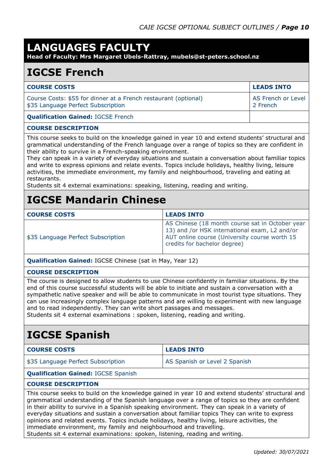### **LANGUAGES FACULTY**

**Head of Faculty: Mrs Margaret Ubels-Rattray, mubels@st-peters.school.nz**

### **IGCSE French**

| <b>COURSE COSTS</b>                                                                                   | <b>LEADS INTO</b>              |
|-------------------------------------------------------------------------------------------------------|--------------------------------|
| Course Costs: \$55 for dinner at a French restaurant (optional)<br>\$35 Language Perfect Subscription | AS French or Level<br>2 French |
| <b>Qualification Gained: IGCSE French</b>                                                             |                                |

#### **COURSE DESCRIPTION**

This course seeks to build on the knowledge gained in year 10 and extend students' structural and grammatical understanding of the French language over a range of topics so they are confident in their ability to survive in a French-speaking environment.

They can speak in a variety of everyday situations and sustain a conversation about familiar topics and write to express opinions and relate events. Topics include holidays, healthy living, leisure activities, the immediate environment, my family and neighbourhood, traveling and eating at restaurants.

Students sit 4 external examinations: speaking, listening, reading and writing.

### **IGCSE Mandarin Chinese**

| <b>COURSE COSTS</b>                | <b>LEADS INTO</b>                                                                                                                                                                 |
|------------------------------------|-----------------------------------------------------------------------------------------------------------------------------------------------------------------------------------|
| \$35 Language Perfect Subscription | AS Chinese (18 month course sat in October year<br>13) and /or HSK international exam, L2 and/or<br>AUT online course (University course worth 15<br>credits for bachelor degree) |

**Qualification Gained:** IGCSE Chinese (sat in May, Year 12)

#### **COURSE DESCRIPTION**

The course is designed to allow students to use Chinese confidently in familiar situations. By the end of this course successful students will be able to initiate and sustain a conversation with a sympathetic native speaker and will be able to communicate in most tourist type situations. They can use increasingly complex language patterns and are willing to experiment with new language and to read independently. They can write short passages and messages. Students sit 4 external examinations : spoken, listening, reading and writing.

### **IGCSE Spanish**

| <b>COURSE COSTS</b>                | <b>LEADS INTO</b>             |
|------------------------------------|-------------------------------|
| \$35 Language Perfect Subscription | AS Spanish or Level 2 Spanish |

#### **Qualification Gained:** IGCSE Spanish

#### **COURSE DESCRIPTION**

This course seeks to build on the knowledge gained in year 10 and extend students' structural and grammatical understanding of the Spanish language over a range of topics so they are confident in their ability to survive in a Spanish speaking environment. They can speak in a variety of everyday situations and sustain a conversation about familiar topics They can write to express opinions and related events. Topics include holidays, healthy living, leisure activities, the immediate environment, my family and neighbourhood and travelling.

Students sit 4 external examinations: spoken, listening, reading and writing.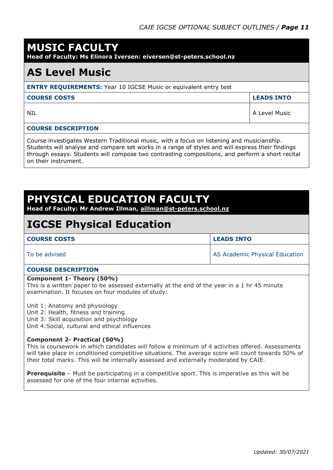### **MUSIC FACULTY**

**Head of Faculty: Ms Elinora Iversen: eiversen@st-peters.school.nz** 

### **AS Level Music**

#### **ENTRY REQUIREMENTS:** Year 10 IGCSE Music or equivalent entry test

**COURSE COSTS LEADS INTO**

NIL A Level Music

#### **COURSE DESCRIPTION**

Course investigates Western Traditional music, with a focus on listening and musicianship. Students will analyse and compare set works in a range of styles and will express their findings through essays. Students will compose two contrasting compositions, and perform a short recital on their instrument.

### **PHYSICAL EDUCATION FACULTY**

**Head of Faculty: Mr Andrew Illman, [aillman@st-peters.school.nz](mailto:aillman@st-peters.school.nz)**

### **IGCSE Physical Education**

| <b>COURSE COSTS</b> | <b>LEADS INTO</b>              |
|---------------------|--------------------------------|
| To be advised       | AS Academic Physical Education |

#### **COURSE DESCRIPTION**

#### **Component 1- Theory (50%)**

This is a written paper to be assessed externally at the end of the year in a 1 hr 45 minute examination. It focuses on four modules of study:

Unit 1: Anatomy and physiology Unit 2: Health, fitness and training

Unit 3: Skill acquisition and psychology

Unit 4:Social, cultural and ethical influences

#### **Component 2- Practical (50%)**

This is coursework in which candidates will follow a minimum of 4 activities offered. Assessments will take place in conditioned competitive situations. The average score will count towards 50% of their total marks. This will be internally assessed and externally moderated by CAIE.

**Prerequisite** - Must be participating in a competitive sport. This is imperative as this will be assessed for one of the four internal activities.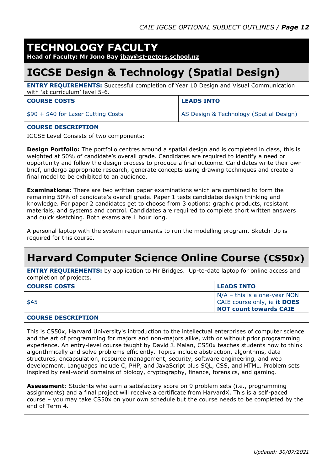#### **TECHNOLOGY FACULTY**

**Head of Faculty: Mr Jono Bay [jbay@st-peters.school.nz](mailto:jbay@st-peters.school.nz)**

### **IGCSE Design & Technology (Spatial Design)**

**ENTRY REQUIREMENTS:** Successful completion of Year 10 Design and Visual Communication with 'at curriculum' level 5-6.

| <b>COURSE COSTS</b>                 | <b>LEADS INTO</b>                       |
|-------------------------------------|-----------------------------------------|
| $$90 + $40$ for Laser Cutting Costs | AS Design & Technology (Spatial Design) |

#### **COURSE DESCRIPTION**

IGCSE Level Consists of two components:

**Design Portfolio:** The portfolio centres around a spatial design and is completed in class, this is weighted at 50% of candidate's overall grade. Candidates are required to identify a need or opportunity and follow the design process to produce a final outcome. Candidates write their own brief, undergo appropriate research, generate concepts using drawing techniques and create a final model to be exhibited to an audience.

**Examinations:** There are two written paper examinations which are combined to form the remaining 50% of candidate's overall grade. Paper 1 tests candidates design thinking and knowledge. For paper 2 candidates get to choose from 3 options: graphic products, resistant materials, and systems and control. Candidates are required to complete short written answers and quick sketching. Both exams are 1 hour long.

A personal laptop with the system requirements to run the modelling program, Sketch-Up is required for this course.

### **Harvard Computer Science Online Course (CS50x)**

**ENTRY REQUIREMENTS:** by application to Mr Bridges. Up-to-date laptop for online access and completion of projects.

| <b>COURSE COSTS</b> | <b>LEADS INTO</b>              |
|---------------------|--------------------------------|
|                     | $N/A$ – this is a one-year NON |
| \$45                | CAIE course only, ie it DOES   |
|                     | <b>NOT count towards CAIE</b>  |
|                     |                                |

#### **COURSE DESCRIPTION**

This is CS50x, Harvard University's introduction to the intellectual enterprises of computer science and the art of programming for majors and non-majors alike, with or without prior programming experience. An entry-level course taught by David J. Malan, CS50x teaches students how to think algorithmically and solve problems efficiently. Topics include abstraction, algorithms, data structures, encapsulation, resource management, security, software engineering, and web development. Languages include C, PHP, and JavaScript plus SQL, CSS, and HTML. Problem sets inspired by real-world domains of biology, cryptography, finance, forensics, and gaming.

**Assessment**: Students who earn a satisfactory score on 9 problem sets (i.e., programming assignments) and a final project will receive a certificate from HarvardX. This is a self-paced course – you may take CS50x on your own schedule but the course needs to be completed by the end of Term 4.